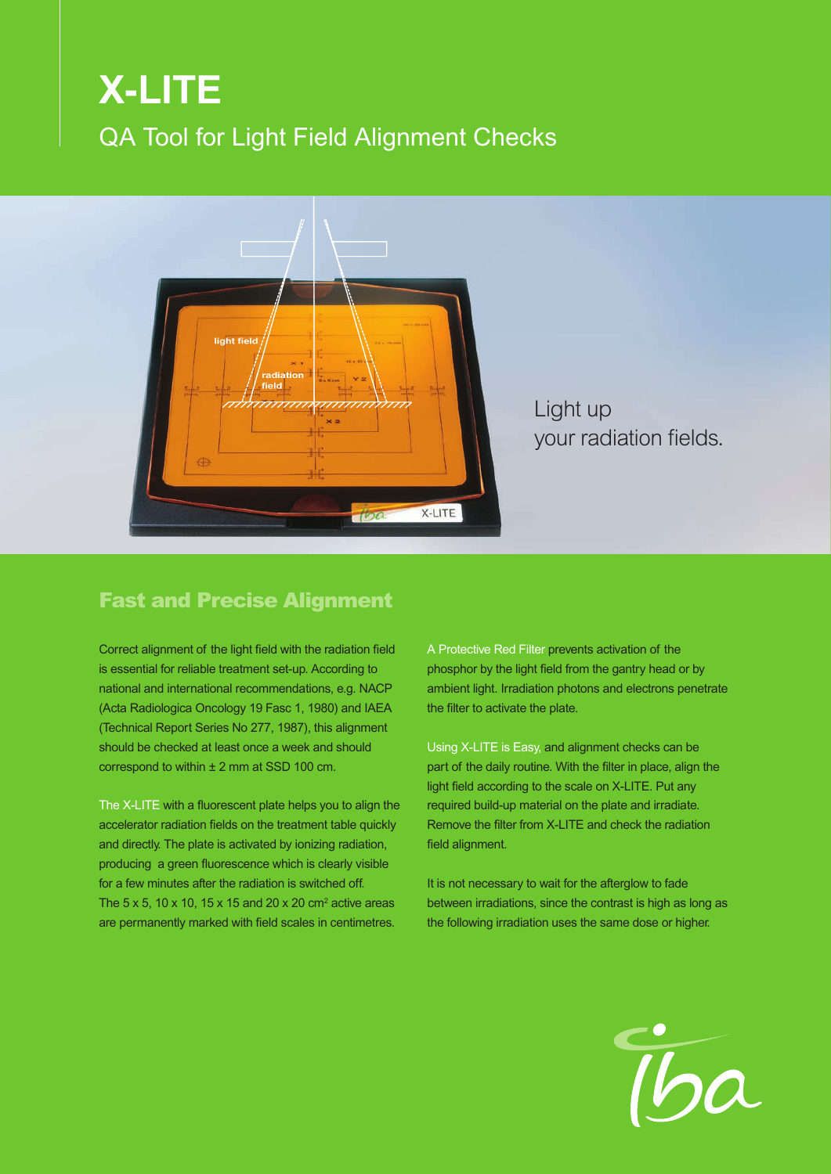## **X-LITE** QA Tool for Light Field Alignment Checks



Light up your radiation fields.

### Fast and Precise Alignment

Correct alignment of the light field with the radiation field is essential for reliable treatment set-up. According to national and international recommendations, e.g. NACP (Acta Radiologica Oncology 19 Fasc 1, 1980) and IAEA (Technical Report Series No 277, 1987), this alignment should be checked at least once a week and should correspond to within  $\pm 2$  mm at SSD 100 cm.

The X-LITE with a fluorescent plate helps you to align the accelerator radiation fields on the treatment table quickly and directly. The plate is activated by ionizing radiation, producing a green fluorescence which is clearly visible for a few minutes after the radiation is switched off. The 5 x 5, 10 x 10, 15 x 15 and 20 x 20  $\text{cm}^2$  active areas are permanently marked with field scales in centimetres.

A Protective Red Filter prevents activation of the phosphor by the light field from the gantry head or by ambient light. Irradiation photons and electrons penetrate the filter to activate the plate.

Using X-LITE is Easy, and alignment checks can be part of the daily routine. With the filter in place, align the light field according to the scale on X-LITE. Put any required build-up material on the plate and irradiate. Remove the filter from X-LITE and check the radiation field alignment.

It is not necessary to wait for the afterglow to fade between irradiations, since the contrast is high as long as the following irradiation uses the same dose or higher.